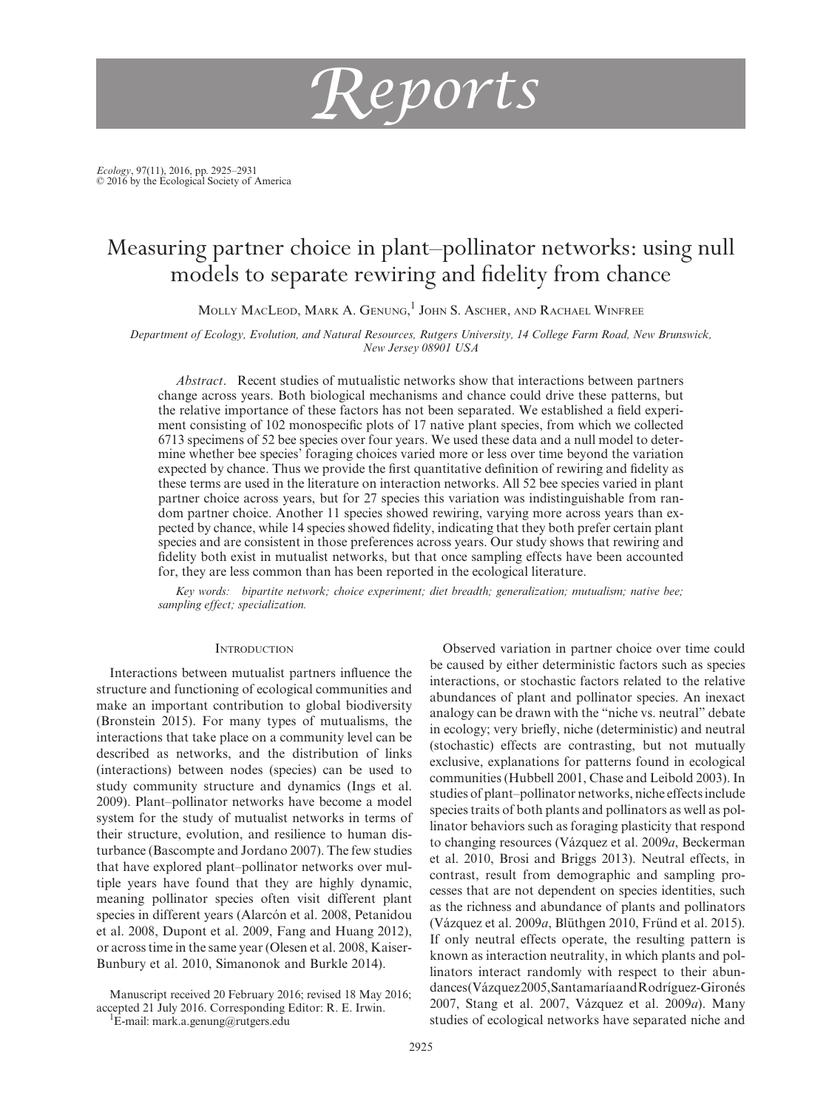

*Ecology*, 97(11), 2016, pp. 2925–2931 © 2016 by the Ecological Society of America

# Measuring partner choice in plant–pollinator networks: using null models to separate rewiring and fidelity from chance

Molly MacLeod, Mark A. Genung,<sup>1</sup> John S. Ascher, and Rachael Winfree

*Department of Ecology, Evolution, and Natural Resources, Rutgers University, 14 College Farm Road, New Brunswick, New Jersey 08901 USA*

*Abstract*. Recent studies of mutualistic networks show that interactions between partners change across years. Both biological mechanisms and chance could drive these patterns, but the relative importance of these factors has not been separated. We established a field experiment consisting of 102 monospecific plots of 17 native plant species, from which we collected 6713 specimens of 52 bee species over four years. We used these data and a null model to determine whether bee species' foraging choices varied more or less over time beyond the variation expected by chance. Thus we provide the first quantitative definition of rewiring and fidelity as these terms are used in the literature on interaction networks. All 52 bee species varied in plant partner choice across years, but for 27 species this variation was indistinguishable from random partner choice. Another 11 species showed rewiring, varying more across years than expected by chance, while 14 species showed fidelity, indicating that they both prefer certain plant species and are consistent in those preferences across years. Our study shows that rewiring and fidelity both exist in mutualist networks, but that once sampling effects have been accounted for, they are less common than has been reported in the ecological literature.

*Key words: bipartite network; choice experiment; diet breadth; generalization; mutualism; native bee; sampling effect; specialization.*

## **INTRODUCTION**

Interactions between mutualist partners influence the structure and functioning of ecological communities and make an important contribution to global biodiversity (Bronstein 2015). For many types of mutualisms, the interactions that take place on a community level can be described as networks, and the distribution of links (interactions) between nodes (species) can be used to study community structure and dynamics (Ings et al. 2009). Plant–pollinator networks have become a model system for the study of mutualist networks in terms of their structure, evolution, and resilience to human disturbance (Bascompte and Jordano 2007). The few studies that have explored plant–pollinator networks over multiple years have found that they are highly dynamic, meaning pollinator species often visit different plant species in different years (Alarcón et al. 2008, Petanidou et al. 2008, Dupont et al. 2009, Fang and Huang 2012), or across time in the same year (Olesen et al. 2008, Kaiser-Bunbury et al. 2010, Simanonok and Burkle 2014).

Manuscript received 20 February 2016; revised 18 May 2016; accepted 21 July 2016. Corresponding Editor: R. E. Irwin.

 $\text{E-mail:}$  [mark.a.genung@rutgers.edu](mailto:mark.a.genung@rutgers.edu)

Observed variation in partner choice over time could be caused by either deterministic factors such as species interactions, or stochastic factors related to the relative abundances of plant and pollinator species. An inexact analogy can be drawn with the "niche vs. neutral" debate in ecology; very briefly, niche (deterministic) and neutral (stochastic) effects are contrasting, but not mutually exclusive, explanations for patterns found in ecological communities (Hubbell 2001, Chase and Leibold 2003). In studies of plant–pollinator networks, niche effects include species traits of both plants and pollinators as well as pollinator behaviors such as foraging plasticity that respond to changing resources (Vázquez et al. 2009*a*, Beckerman et al. 2010, Brosi and Briggs 2013). Neutral effects, in contrast, result from demographic and sampling processes that are not dependent on species identities, such as the richness and abundance of plants and pollinators (Vázquez et al. 2009*a*, Blüthgen 2010, Fründ et al. 2015). If only neutral effects operate, the resulting pattern is known as interaction neutrality, in which plants and pollinators interact randomly with respect to their abundances (Vázquez 2005, Santamaría and Rodríguez-Gironés 2007, Stang et al. 2007, Vázquez et al. 2009*a*). Many studies of ecological networks have separated niche and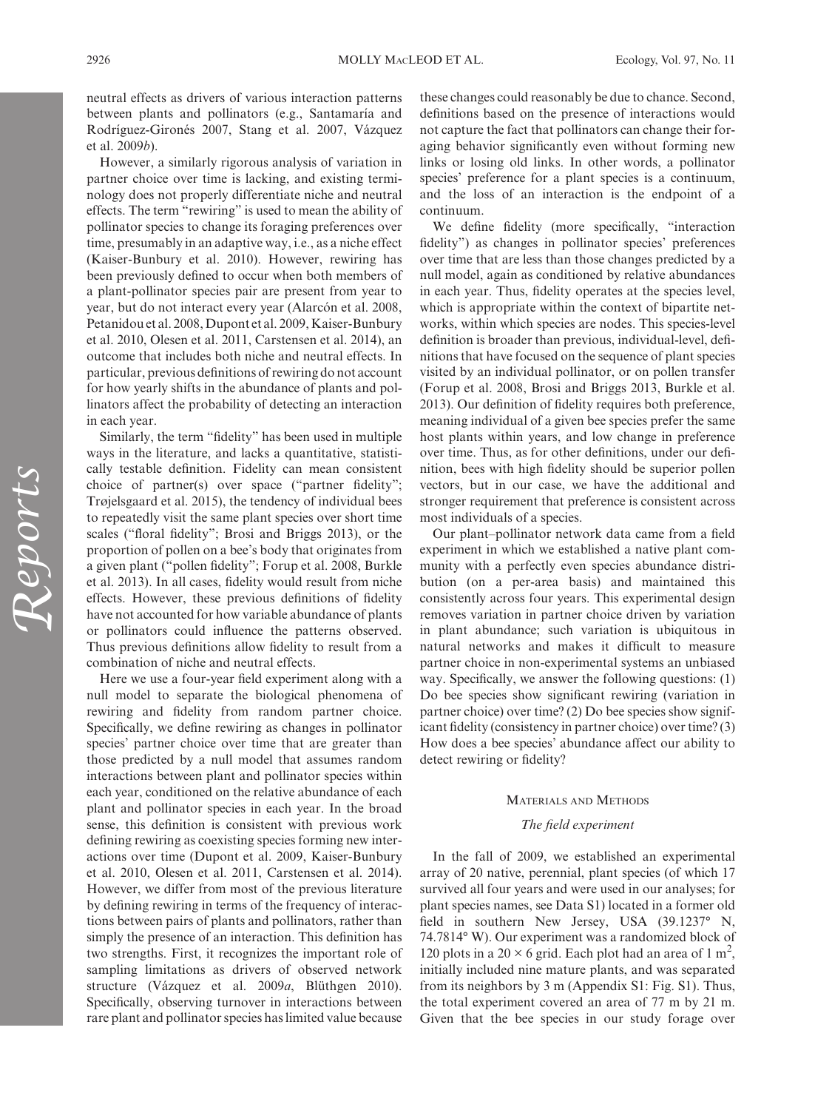neutral effects as drivers of various interaction patterns between plants and pollinators (e.g., Santamaría and Rodríguez-Gironés 2007, Stang et al. 2007, Vázquez et al. 2009*b*).

However, a similarly rigorous analysis of variation in partner choice over time is lacking, and existing terminology does not properly differentiate niche and neutral effects. The term "rewiring" is used to mean the ability of pollinator species to change its foraging preferences over time, presumably in an adaptive way, i.e., as a niche effect (Kaiser-Bunbury et al. 2010). However, rewiring has been previously defined to occur when both members of a plant-pollinator species pair are present from year to year, but do not interact every year (Alarcón et al. 2008, Petanidou et al. 2008, Dupont et al. 2009, Kaiser-Bunbury et al. 2010, Olesen et al. 2011, Carstensen et al. 2014), an outcome that includes both niche and neutral effects. In particular, previous definitions of rewiring do not account for how yearly shifts in the abundance of plants and pollinators affect the probability of detecting an interaction in each year.

Similarly, the term "fidelity" has been used in multiple ways in the literature, and lacks a quantitative, statistically testable definition. Fidelity can mean consistent choice of partner(s) over space ("partner fidelity"; Trøjelsgaard et al. 2015), the tendency of individual bees to repeatedly visit the same plant species over short time scales ("floral fidelity"; Brosi and Briggs 2013), or the proportion of pollen on a bee's body that originates from a given plant ("pollen fidelity"; Forup et al. 2008, Burkle et al. 2013). In all cases, fidelity would result from niche effects. However, these previous definitions of fidelity have not accounted for how variable abundance of plants or pollinators could influence the patterns observed. Thus previous definitions allow fidelity to result from a combination of niche and neutral effects.

Here we use a four-year field experiment along with a null model to separate the biological phenomena of rewiring and fidelity from random partner choice. Specifically, we define rewiring as changes in pollinator species' partner choice over time that are greater than those predicted by a null model that assumes random interactions between plant and pollinator species within each year, conditioned on the relative abundance of each plant and pollinator species in each year. In the broad sense, this definition is consistent with previous work defining rewiring as coexisting species forming new interactions over time (Dupont et al. 2009, Kaiser-Bunbury et al. 2010, Olesen et al. 2011, Carstensen et al. 2014). However, we differ from most of the previous literature by defining rewiring in terms of the frequency of interactions between pairs of plants and pollinators, rather than simply the presence of an interaction. This definition has two strengths. First, it recognizes the important role of sampling limitations as drivers of observed network structure (Vázquez et al. 2009*a*, Blüthgen 2010). Specifically, observing turnover in interactions between rare plant and pollinator species has limited value because

these changes could reasonably be due to chance. Second, definitions based on the presence of interactions would not capture the fact that pollinators can change their foraging behavior significantly even without forming new links or losing old links. In other words, a pollinator species' preference for a plant species is a continuum, and the loss of an interaction is the endpoint of a continuum.

We define fidelity (more specifically, "interaction fidelity") as changes in pollinator species' preferences over time that are less than those changes predicted by a null model, again as conditioned by relative abundances in each year. Thus, fidelity operates at the species level, which is appropriate within the context of bipartite networks, within which species are nodes. This species-level definition is broader than previous, individual-level, definitions that have focused on the sequence of plant species visited by an individual pollinator, or on pollen transfer (Forup et al. 2008, Brosi and Briggs 2013, Burkle et al. 2013). Our definition of fidelity requires both preference, meaning individual of a given bee species prefer the same host plants within years, and low change in preference over time. Thus, as for other definitions, under our definition, bees with high fidelity should be superior pollen vectors, but in our case, we have the additional and stronger requirement that preference is consistent across most individuals of a species.

Our plant–pollinator network data came from a field experiment in which we established a native plant community with a perfectly even species abundance distribution (on a per-area basis) and maintained this consistently across four years. This experimental design removes variation in partner choice driven by variation in plant abundance; such variation is ubiquitous in natural networks and makes it difficult to measure partner choice in non-experimental systems an unbiased way. Specifically, we answer the following questions: (1) Do bee species show significant rewiring (variation in partner choice) over time? (2) Do bee species show significant fidelity (consistency in partner choice) over time? (3) How does a bee species' abundance affect our ability to detect rewiring or fidelity?

#### Materials and Methods

#### *The field experiment*

In the fall of 2009, we established an experimental array of 20 native, perennial, plant species (of which 17 survived all four years and were used in our analyses; for plant species names, see Data S1) located in a former old field in southern New Jersey, USA (39.1237° N, 74.7814° W). Our experiment was a randomized block of 120 plots in a 20  $\times$  6 grid. Each plot had an area of 1 m<sup>2</sup>, initially included nine mature plants, and was separated from its neighbors by 3 m (Appendix S1: Fig. S1). Thus, the total experiment covered an area of 77 m by 21 m. Given that the bee species in our study forage over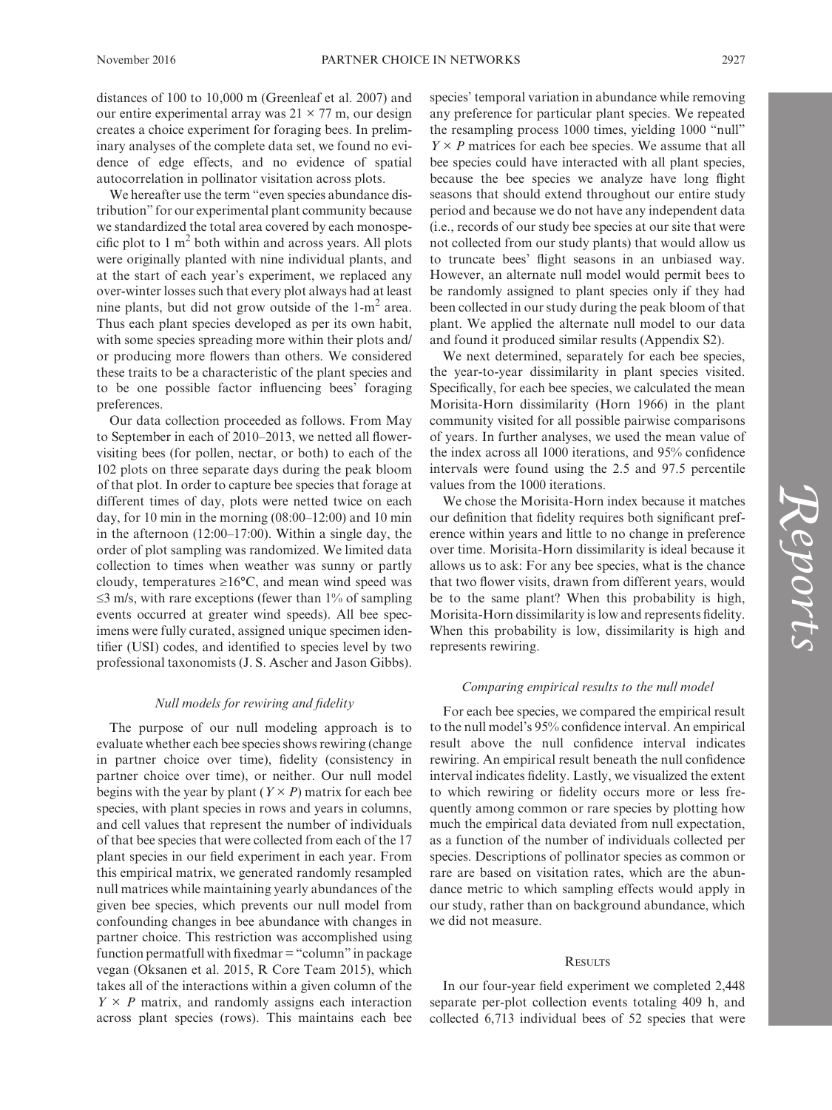distances of 100 to 10,000 m (Greenleaf et al. 2007) and our entire experimental array was  $21 \times 77$  m, our design creates a choice experiment for foraging bees. In preliminary analyses of the complete data set, we found no evidence of edge effects, and no evidence of spatial autocorrelation in pollinator visitation across plots.

We hereafter use the term "even species abundance distribution" for our experimental plant community because we standardized the total area covered by each monospecific plot to  $1 \text{ m}^2$  both within and across years. All plots were originally planted with nine individual plants, and at the start of each year's experiment, we replaced any over-winter losses such that every plot always had at least nine plants, but did not grow outside of the  $1-m^2$  area. Thus each plant species developed as per its own habit, with some species spreading more within their plots and/ or producing more flowers than others. We considered these traits to be a characteristic of the plant species and to be one possible factor influencing bees' foraging preferences.

Our data collection proceeded as follows. From May to September in each of 2010–2013, we netted all flowervisiting bees (for pollen, nectar, or both) to each of the 102 plots on three separate days during the peak bloom of that plot. In order to capture bee species that forage at different times of day, plots were netted twice on each day, for 10 min in the morning  $(08:00-12:00)$  and 10 min in the afternoon (12:00–17:00). Within a single day, the order of plot sampling was randomized. We limited data collection to times when weather was sunny or partly cloudy, temperatures ≥16°C, and mean wind speed was  $\leq$ 3 m/s, with rare exceptions (fewer than 1% of sampling events occurred at greater wind speeds). All bee specimens were fully curated, assigned unique specimen identifier (USI) codes, and identified to species level by two professional taxonomists (J. S. Ascher and Jason Gibbs).

#### *Null models for rewiring and fidelity*

The purpose of our null modeling approach is to evaluate whether each bee species shows rewiring (change in partner choice over time), fidelity (consistency in partner choice over time), or neither. Our null model begins with the year by plant  $(Y \times P)$  matrix for each bee species, with plant species in rows and years in columns, and cell values that represent the number of individuals of that bee species that were collected from each of the 17 plant species in our field experiment in each year. From this empirical matrix, we generated randomly resampled null matrices while maintaining yearly abundances of the given bee species, which prevents our null model from confounding changes in bee abundance with changes in partner choice. This restriction was accomplished using function permatfull with fixedmar="column" in package vegan (Oksanen et al. 2015, R Core Team 2015), which takes all of the interactions within a given column of the  $Y \times P$  matrix, and randomly assigns each interaction across plant species (rows). This maintains each bee species' temporal variation in abundance while removing any preference for particular plant species. We repeated the resampling process 1000 times, yielding 1000 "null"  $Y \times P$  matrices for each bee species. We assume that all bee species could have interacted with all plant species, because the bee species we analyze have long flight seasons that should extend throughout our entire study period and because we do not have any independent data (i.e., records of our study bee species at our site that were not collected from our study plants) that would allow us to truncate bees' flight seasons in an unbiased way. However, an alternate null model would permit bees to be randomly assigned to plant species only if they had been collected in our study during the peak bloom of that plant. We applied the alternate null model to our data and found it produced similar results (Appendix S2).

We next determined, separately for each bee species, the year-to-year dissimilarity in plant species visited. Specifically, for each bee species, we calculated the mean Morisita-Horn dissimilarity (Horn 1966) in the plant community visited for all possible pairwise comparisons of years. In further analyses, we used the mean value of the index across all 1000 iterations, and 95% confidence intervals were found using the 2.5 and 97.5 percentile values from the 1000 iterations.

We chose the Morisita-Horn index because it matches our definition that fidelity requires both significant preference within years and little to no change in preference over time. Morisita-Horn dissimilarity is ideal because it allows us to ask: For any bee species, what is the chance that two flower visits, drawn from different years, would be to the same plant? When this probability is high, Morisita-Horn dissimilarity is low and represents fidelity. When this probability is low, dissimilarity is high and represents rewiring.

## *Comparing empirical results to the null model*

For each bee species, we compared the empirical result to the null model's 95% confidence interval. An empirical result above the null confidence interval indicates rewiring. An empirical result beneath the null confidence interval indicates fidelity. Lastly, we visualized the extent to which rewiring or fidelity occurs more or less frequently among common or rare species by plotting how much the empirical data deviated from null expectation, as a function of the number of individuals collected per species. Descriptions of pollinator species as common or rare are based on visitation rates, which are the abundance metric to which sampling effects would apply in our study, rather than on background abundance, which we did not measure.

#### **RESULTS**

In our four-year field experiment we completed 2,448 separate per-plot collection events totaling 409 h, and collected 6,713 individual bees of 52 species that were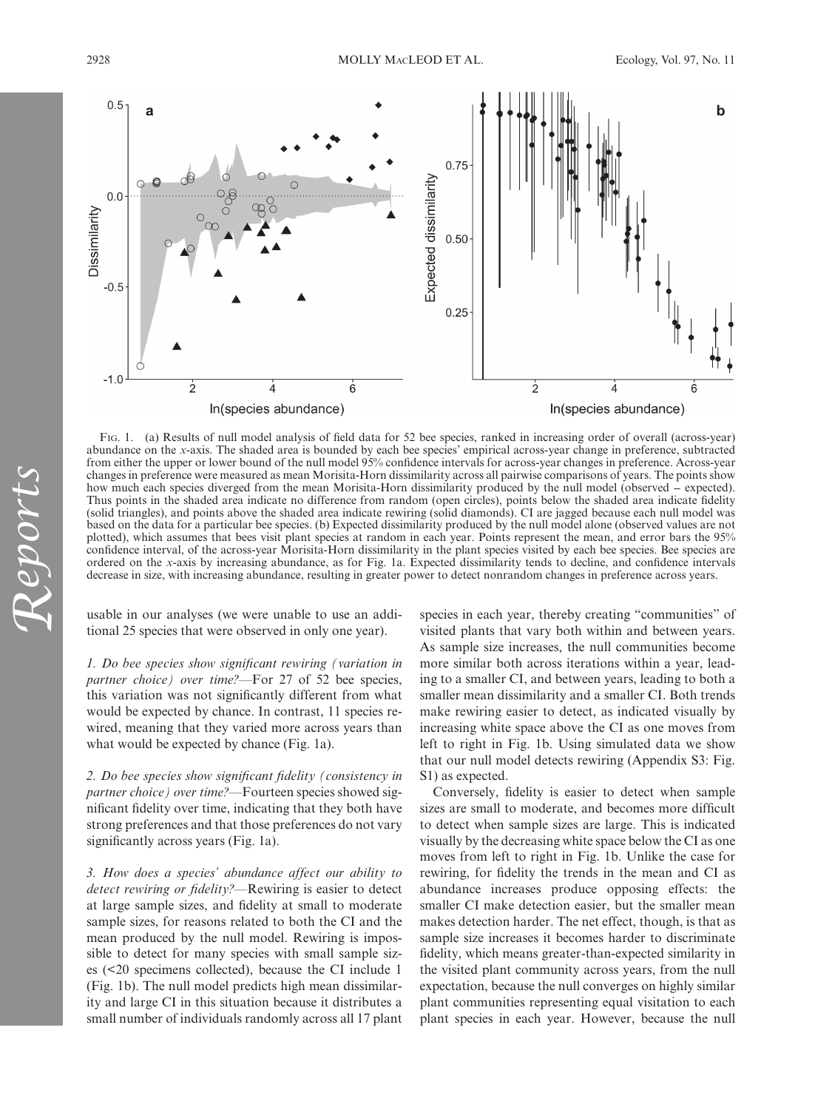

Fig. 1. (a) Results of null model analysis of field data for 52 bee species, ranked in increasing order of overall (across-year) abundance on the *x*-axis. The shaded area is bounded by each bee species' empirical across-year change in preference, subtracted from either the upper or lower bound of the null model 95% confidence intervals for across-year changes in preference. Across-year changes in preference were measured as mean Morisita-Horn dissimilarity across all pairwise comparisons of years. The points show how much each species diverged from the mean Morisita-Horn dissimilarity produced by the null model (observed − expected). Thus points in the shaded area indicate no difference from random (open circles), points below the shaded area indicate fidelity (solid triangles), and points above the shaded area indicate rewiring (solid diamonds). CI are jagged because each null model was based on the data for a particular bee species. (b) Expected dissimilarity produced by the null model alone (observed values are not plotted), which assumes that bees visit plant species at random in each year. Points represent the mean, and error bars the 95% confidence interval, of the across-year Morisita-Horn dissimilarity in the plant species visited by each bee species. Bee species are ordered on the *x*-axis by increasing abundance, as for Fig. 1a. Expected dissimilarity tends to decline, and confidence intervals decrease in size, with increasing abundance, resulting in greater power to detect nonrandom changes in preference across years.

usable in our analyses (we were unable to use an additional 25 species that were observed in only one year).

*1. Do bee species show significant rewiring (variation in partner choice) over time?—*For 27 of 52 bee species, this variation was not significantly different from what would be expected by chance. In contrast, 11 species rewired, meaning that they varied more across years than what would be expected by chance (Fig. 1a).

*2. Do bee species show significant fidelity (consistency in partner choice) over time?—*Fourteen species showed significant fidelity over time, indicating that they both have strong preferences and that those preferences do not vary significantly across years (Fig. 1a).

*3. How does a species' abundance affect our ability to detect rewiring or fidelity?—*Rewiring is easier to detect at large sample sizes, and fidelity at small to moderate sample sizes, for reasons related to both the CI and the mean produced by the null model. Rewiring is impossible to detect for many species with small sample sizes (<20 specimens collected), because the CI include 1 (Fig. 1b). The null model predicts high mean dissimilarity and large CI in this situation because it distributes a small number of individuals randomly across all 17 plant species in each year, thereby creating "communities" of visited plants that vary both within and between years. As sample size increases, the null communities become more similar both across iterations within a year, leading to a smaller CI, and between years, leading to both a smaller mean dissimilarity and a smaller CI. Both trends make rewiring easier to detect, as indicated visually by increasing white space above the CI as one moves from left to right in Fig. 1b. Using simulated data we show that our null model detects rewiring (Appendix S3: Fig. S1) as expected.

Conversely, fidelity is easier to detect when sample sizes are small to moderate, and becomes more difficult to detect when sample sizes are large. This is indicated visually by the decreasing white space below the CI as one moves from left to right in Fig. 1b. Unlike the case for rewiring, for fidelity the trends in the mean and CI as abundance increases produce opposing effects: the smaller CI make detection easier, but the smaller mean makes detection harder. The net effect, though, is that as sample size increases it becomes harder to discriminate fidelity, which means greater-than-expected similarity in the visited plant community across years, from the null expectation, because the null converges on highly similar plant communities representing equal visitation to each plant species in each year. However, because the null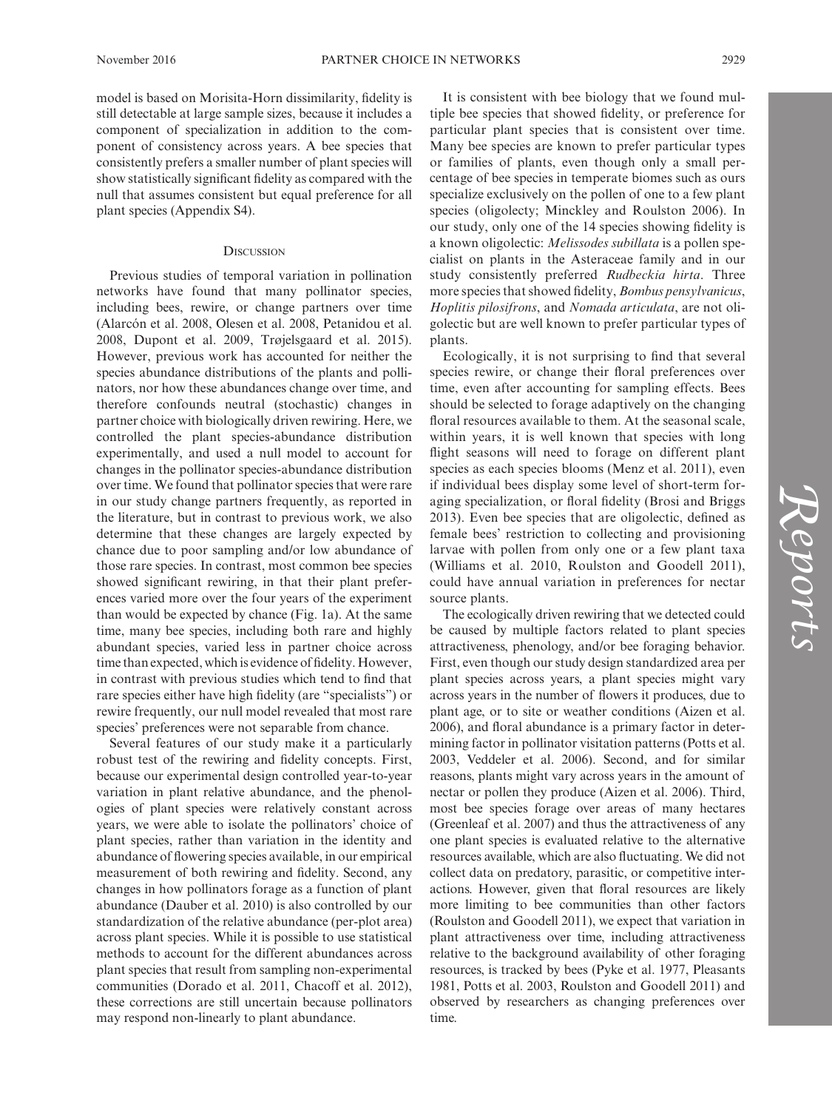model is based on Morisita-Horn dissimilarity, fidelity is still detectable at large sample sizes, because it includes a component of specialization in addition to the component of consistency across years. A bee species that consistently prefers a smaller number of plant species will show statistically significant fidelity as compared with the null that assumes consistent but equal preference for all plant species (Appendix S4).

## **DISCUSSION**

Previous studies of temporal variation in pollination networks have found that many pollinator species, including bees, rewire, or change partners over time (Alarcón et al. 2008, Olesen et al. 2008, Petanidou et al. 2008, Dupont et al. 2009, Trøjelsgaard et al. 2015). However, previous work has accounted for neither the species abundance distributions of the plants and pollinators, nor how these abundances change over time, and therefore confounds neutral (stochastic) changes in partner choice with biologically driven rewiring. Here, we controlled the plant species-abundance distribution experimentally, and used a null model to account for changes in the pollinator species-abundance distribution over time. We found that pollinator species that were rare in our study change partners frequently, as reported in the literature, but in contrast to previous work, we also determine that these changes are largely expected by chance due to poor sampling and/or low abundance of those rare species. In contrast, most common bee species showed significant rewiring, in that their plant preferences varied more over the four years of the experiment than would be expected by chance (Fig. 1a). At the same time, many bee species, including both rare and highly abundant species, varied less in partner choice across time than expected, which is evidence of fidelity. However, in contrast with previous studies which tend to find that rare species either have high fidelity (are "specialists") or rewire frequently, our null model revealed that most rare species' preferences were not separable from chance.

Several features of our study make it a particularly robust test of the rewiring and fidelity concepts. First, because our experimental design controlled year-to-year variation in plant relative abundance, and the phenologies of plant species were relatively constant across years, we were able to isolate the pollinators' choice of plant species, rather than variation in the identity and abundance of flowering species available, in our empirical measurement of both rewiring and fidelity. Second, any changes in how pollinators forage as a function of plant abundance (Dauber et al. 2010) is also controlled by our standardization of the relative abundance (per-plot area) across plant species. While it is possible to use statistical methods to account for the different abundances across plant species that result from sampling non-experimental communities (Dorado et al. 2011, Chacoff et al. 2012), these corrections are still uncertain because pollinators may respond non-linearly to plant abundance.

It is consistent with bee biology that we found multiple bee species that showed fidelity, or preference for particular plant species that is consistent over time. Many bee species are known to prefer particular types or families of plants, even though only a small percentage of bee species in temperate biomes such as ours specialize exclusively on the pollen of one to a few plant species (oligolecty; Minckley and Roulston 2006). In our study, only one of the 14 species showing fidelity is a known oligolectic: *Melissodes subillata* is a pollen specialist on plants in the Asteraceae family and in our study consistently preferred *Rudbeckia hirta*. Three more species that showed fidelity, *Bombus pensylvanicus*, *Hoplitis pilosifrons*, and *Nomada articulata*, are not oligolectic but are well known to prefer particular types of plants.

Ecologically, it is not surprising to find that several species rewire, or change their floral preferences over time, even after accounting for sampling effects. Bees should be selected to forage adaptively on the changing floral resources available to them. At the seasonal scale, within years, it is well known that species with long flight seasons will need to forage on different plant species as each species blooms (Menz et al. 2011), even if individual bees display some level of short-term foraging specialization, or floral fidelity (Brosi and Briggs 2013). Even bee species that are oligolectic, defined as female bees' restriction to collecting and provisioning larvae with pollen from only one or a few plant taxa (Williams et al. 2010, Roulston and Goodell 2011), could have annual variation in preferences for nectar source plants.

The ecologically driven rewiring that we detected could be caused by multiple factors related to plant species attractiveness, phenology, and/or bee foraging behavior. First, even though our study design standardized area per plant species across years, a plant species might vary across years in the number of flowers it produces, due to plant age, or to site or weather conditions (Aizen et al. 2006), and floral abundance is a primary factor in determining factor in pollinator visitation patterns (Potts et al. 2003, Veddeler et al. 2006). Second, and for similar reasons, plants might vary across years in the amount of nectar or pollen they produce (Aizen et al. 2006). Third, most bee species forage over areas of many hectares (Greenleaf et al. 2007) and thus the attractiveness of any one plant species is evaluated relative to the alternative resources available, which are also fluctuating. We did not collect data on predatory, parasitic, or competitive interactions. However, given that floral resources are likely more limiting to bee communities than other factors (Roulston and Goodell 2011), we expect that variation in plant attractiveness over time, including attractiveness relative to the background availability of other foraging resources, is tracked by bees (Pyke et al. 1977, Pleasants 1981, Potts et al. 2003, Roulston and Goodell 2011) and observed by researchers as changing preferences over time.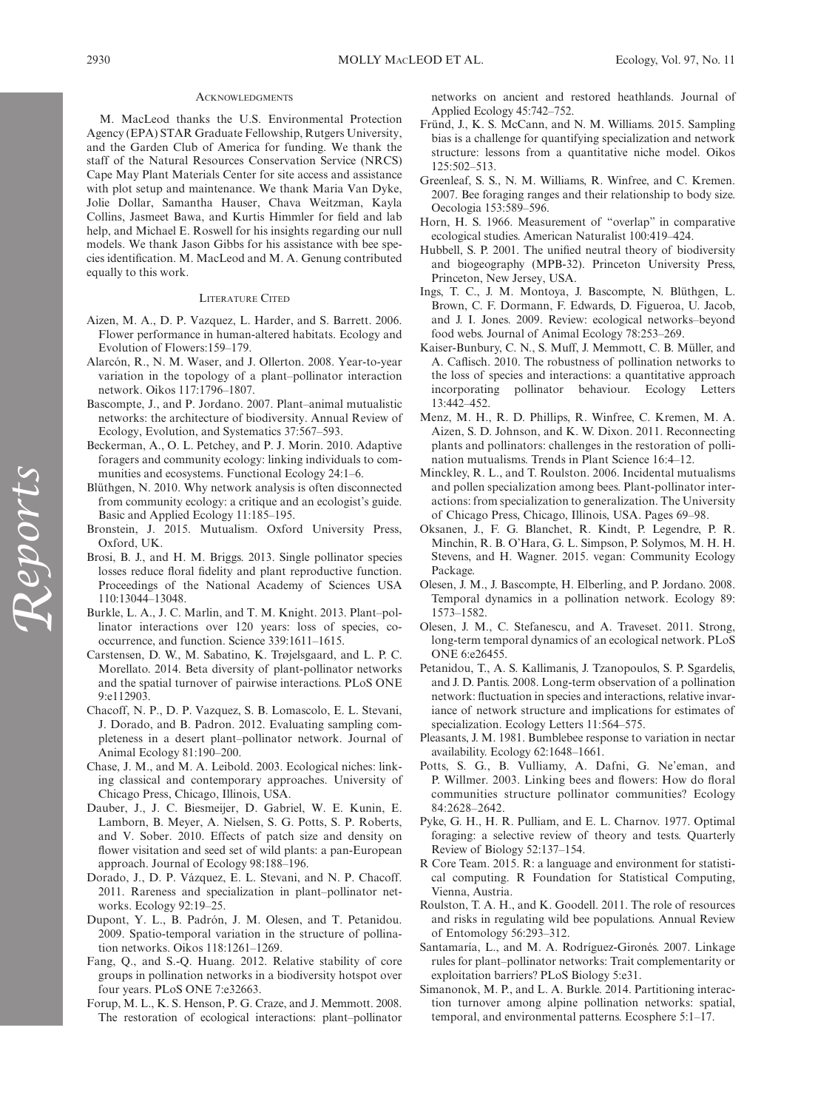#### **ACKNOWLEDGMENTS**

M. MacLeod thanks the U.S. Environmental Protection Agency (EPA) STAR Graduate Fellowship, Rutgers University, and the Garden Club of America for funding. We thank the staff of the Natural Resources Conservation Service (NRCS) Cape May Plant Materials Center for site access and assistance with plot setup and maintenance. We thank Maria Van Dyke, Jolie Dollar, Samantha Hauser, Chava Weitzman, Kayla Collins, Jasmeet Bawa, and Kurtis Himmler for field and lab help, and Michael E. Roswell for his insights regarding our null models. We thank Jason Gibbs for his assistance with bee species identification. M. MacLeod and M. A. Genung contributed equally to this work.

#### LITERATURE CITED

- Aizen, M. A., D. P. Vazquez, L. Harder, and S. Barrett. 2006. Flower performance in human-altered habitats. Ecology and Evolution of Flowers:159–179.
- Alarcón, R., N. M. Waser, and J. Ollerton. 2008. Year-to-year variation in the topology of a plant–pollinator interaction network. Oikos 117:1796–1807.
- Bascompte, J., and P. Jordano. 2007. Plant–animal mutualistic networks: the architecture of biodiversity. Annual Review of Ecology, Evolution, and Systematics 37:567–593.
- Beckerman, A., O. L. Petchey, and P. J. Morin. 2010. Adaptive foragers and community ecology: linking individuals to communities and ecosystems. Functional Ecology 24:1–6.
- Blüthgen, N. 2010. Why network analysis is often disconnected from community ecology: a critique and an ecologist's guide. Basic and Applied Ecology 11:185–195.
- Bronstein, J. 2015. Mutualism. Oxford University Press, Oxford, UK.
- Brosi, B. J., and H. M. Briggs. 2013. Single pollinator species losses reduce floral fidelity and plant reproductive function. Proceedings of the National Academy of Sciences USA 110:13044–13048.
- Burkle, L. A., J. C. Marlin, and T. M. Knight. 2013. Plant–pollinator interactions over 120 years: loss of species, cooccurrence, and function. Science 339:1611–1615.
- Carstensen, D. W., M. Sabatino, K. Trøjelsgaard, and L. P. C. Morellato. 2014. Beta diversity of plant-pollinator networks and the spatial turnover of pairwise interactions. PLoS ONE 9:e112903.
- Chacoff, N. P., D. P. Vazquez, S. B. Lomascolo, E. L. Stevani, J. Dorado, and B. Padron. 2012. Evaluating sampling completeness in a desert plant–pollinator network. Journal of Animal Ecology 81:190–200.
- Chase, J. M., and M. A. Leibold. 2003. Ecological niches: linking classical and contemporary approaches. University of Chicago Press, Chicago, Illinois, USA.
- Dauber, J., J. C. Biesmeijer, D. Gabriel, W. E. Kunin, E. Lamborn, B. Meyer, A. Nielsen, S. G. Potts, S. P. Roberts, and V. Sober. 2010. Effects of patch size and density on flower visitation and seed set of wild plants: a pan-European approach. Journal of Ecology 98:188–196.
- Dorado, J., D. P. Vázquez, E. L. Stevani, and N. P. Chacoff. 2011. Rareness and specialization in plant–pollinator networks. Ecology 92:19–25.
- Dupont, Y. L., B. Padrón, J. M. Olesen, and T. Petanidou. 2009. Spatio-temporal variation in the structure of pollination networks. Oikos 118:1261–1269.
- Fang, Q., and S.-Q. Huang. 2012. Relative stability of core groups in pollination networks in a biodiversity hotspot over four years. PLoS ONE 7:e32663.
- Forup, M. L., K. S. Henson, P. G. Craze, and J. Memmott. 2008. The restoration of ecological interactions: plant–pollinator

networks on ancient and restored heathlands. Journal of Applied Ecology 45:742–752.

- Fründ, J., K. S. McCann, and N. M. Williams. 2015. Sampling bias is a challenge for quantifying specialization and network structure: lessons from a quantitative niche model. Oikos  $125.502 - 513$
- Greenleaf, S. S., N. M. Williams, R. Winfree, and C. Kremen. 2007. Bee foraging ranges and their relationship to body size. Oecologia 153:589–596.
- Horn, H. S. 1966. Measurement of "overlap" in comparative ecological studies. American Naturalist 100:419–424.
- Hubbell, S. P. 2001. The unified neutral theory of biodiversity and biogeography (MPB-32). Princeton University Press, Princeton, New Jersey, USA.
- Ings, T. C., J. M. Montoya, J. Bascompte, N. Blüthgen, L. Brown, C. F. Dormann, F. Edwards, D. Figueroa, U. Jacob, and J. I. Jones. 2009. Review: ecological networks–beyond food webs. Journal of Animal Ecology 78:253–269.
- Kaiser-Bunbury, C. N., S. Muff, J. Memmott, C. B. Müller, and A. Caflisch. 2010. The robustness of pollination networks to the loss of species and interactions: a quantitative approach incorporating pollinator behaviour. Ecology Letters 13:442–452.
- Menz, M. H., R. D. Phillips, R. Winfree, C. Kremen, M. A. Aizen, S. D. Johnson, and K. W. Dixon. 2011. Reconnecting plants and pollinators: challenges in the restoration of pollination mutualisms. Trends in Plant Science 16:4–12.
- Minckley, R. L., and T. Roulston. 2006. Incidental mutualisms and pollen specialization among bees. Plant-pollinator interactions: from specialization to generalization. The University of Chicago Press, Chicago, Illinois, USA. Pages 69–98.
- Oksanen, J., F. G. Blanchet, R. Kindt, P. Legendre, P. R. Minchin, R. B. O'Hara, G. L. Simpson, P. Solymos, M. H. H. Stevens, and H. Wagner. 2015. vegan: Community Ecology Package.
- Olesen, J. M., J. Bascompte, H. Elberling, and P. Jordano. 2008. Temporal dynamics in a pollination network. Ecology 89: 1573–1582.
- Olesen, J. M., C. Stefanescu, and A. Traveset. 2011. Strong, long-term temporal dynamics of an ecological network. PLoS ONE 6:e26455.
- Petanidou, T., A. S. Kallimanis, J. Tzanopoulos, S. P. Sgardelis, and J. D. Pantis. 2008. Long-term observation of a pollination network: fluctuation in species and interactions, relative invariance of network structure and implications for estimates of specialization. Ecology Letters 11:564–575.
- Pleasants, J. M. 1981. Bumblebee response to variation in nectar availability. Ecology 62:1648–1661.
- Potts, S. G., B. Vulliamy, A. Dafni, G. Ne'eman, and P. Willmer. 2003. Linking bees and flowers: How do floral communities structure pollinator communities? Ecology 84:2628–2642.
- Pyke, G. H., H. R. Pulliam, and E. L. Charnov. 1977. Optimal foraging: a selective review of theory and tests. Quarterly Review of Biology 52:137–154.
- R Core Team. 2015. R: a language and environment for statistical computing. R Foundation for Statistical Computing, Vienna, Austria.
- Roulston, T. A. H., and K. Goodell. 2011. The role of resources and risks in regulating wild bee populations. Annual Review of Entomology 56:293–312.
- Santamaría, L., and M. A. Rodríguez-Gironés. 2007. Linkage rules for plant–pollinator networks: Trait complementarity or exploitation barriers? PLoS Biology 5:e31.
- Simanonok, M. P., and L. A. Burkle. 2014. Partitioning interaction turnover among alpine pollination networks: spatial, temporal, and environmental patterns. Ecosphere 5:1–17.